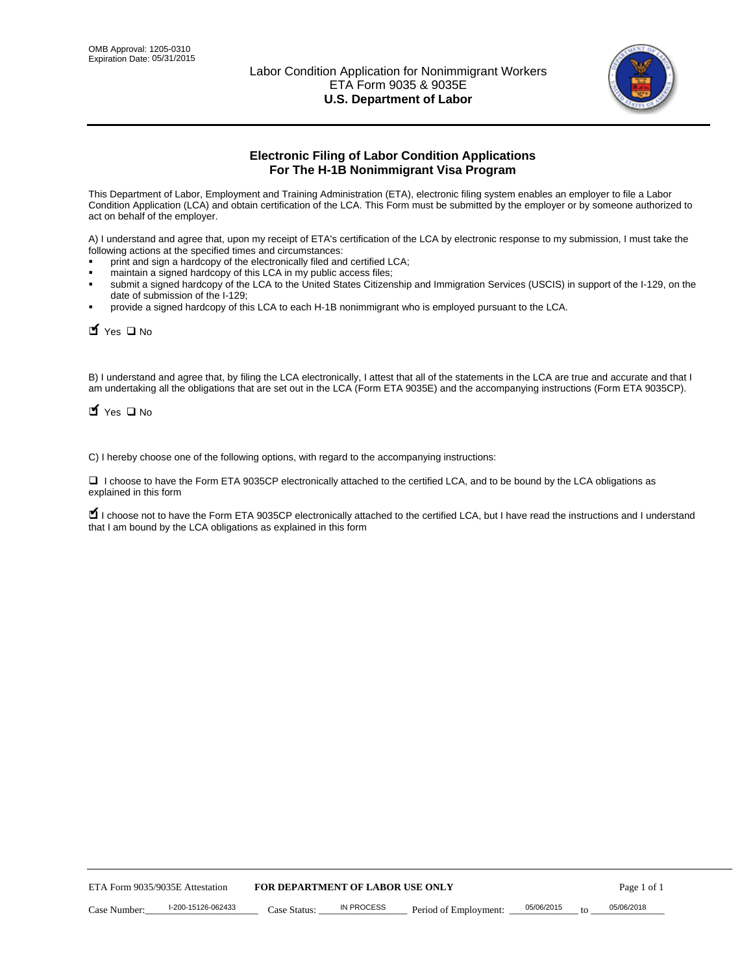

# **Electronic Filing of Labor Condition Applications For The H-1B Nonimmigrant Visa Program**

This Department of Labor, Employment and Training Administration (ETA), electronic filing system enables an employer to file a Labor Condition Application (LCA) and obtain certification of the LCA. This Form must be submitted by the employer or by someone authorized to act on behalf of the employer.

A) I understand and agree that, upon my receipt of ETA's certification of the LCA by electronic response to my submission, I must take the following actions at the specified times and circumstances:

- print and sign a hardcopy of the electronically filed and certified LCA;
- maintain a signed hardcopy of this LCA in my public access files;
- submit a signed hardcopy of the LCA to the United States Citizenship and Immigration Services (USCIS) in support of the I-129, on the date of submission of the I-129;
- provide a signed hardcopy of this LCA to each H-1B nonimmigrant who is employed pursuant to the LCA.

| Yes O No                        |                                                                                                                                                                                                                                                                                    |                                  |                       |                  |             |
|---------------------------------|------------------------------------------------------------------------------------------------------------------------------------------------------------------------------------------------------------------------------------------------------------------------------------|----------------------------------|-----------------------|------------------|-------------|
| $\blacksquare$ Yes $\square$ No | B) I understand and agree that, by filing the LCA electronically, I attest that all of the statements in the LCA are true and accurate and th<br>am undertaking all the obligations that are set out in the LCA (Form ETA 9035E) and the accompanying instructions (Form ETA 9035C |                                  |                       |                  |             |
|                                 | C) I hereby choose one of the following options, with regard to the accompanying instructions:                                                                                                                                                                                     |                                  |                       |                  |             |
| explained in this form          | □ I choose to have the Form ETA 9035CP electronically attached to the certified LCA, and to be bound by the LCA obligations as                                                                                                                                                     |                                  |                       |                  |             |
|                                 | I choose not to have the Form ETA 9035CP electronically attached to the certified LCA, but I have read the instructions and I unders<br>that I am bound by the LCA obligations as explained in this form                                                                           |                                  |                       |                  |             |
|                                 |                                                                                                                                                                                                                                                                                    |                                  |                       |                  |             |
|                                 |                                                                                                                                                                                                                                                                                    |                                  |                       |                  |             |
|                                 |                                                                                                                                                                                                                                                                                    |                                  |                       |                  |             |
|                                 |                                                                                                                                                                                                                                                                                    |                                  |                       |                  |             |
|                                 |                                                                                                                                                                                                                                                                                    |                                  |                       |                  |             |
|                                 |                                                                                                                                                                                                                                                                                    |                                  |                       |                  |             |
|                                 |                                                                                                                                                                                                                                                                                    |                                  |                       |                  |             |
|                                 |                                                                                                                                                                                                                                                                                    |                                  |                       |                  |             |
|                                 |                                                                                                                                                                                                                                                                                    |                                  |                       |                  |             |
|                                 |                                                                                                                                                                                                                                                                                    |                                  |                       |                  |             |
| ETA Form 9035/9035E Attestation |                                                                                                                                                                                                                                                                                    | FOR DEPARTMENT OF LABOR USE ONLY |                       |                  | Page 1 of 1 |
| Case Number:                    | I-200-15126-062433<br>Case Status:                                                                                                                                                                                                                                                 | <b>IN PROCESS</b>                | Period of Employment: | 05/06/2015<br>to | 05/06/2018  |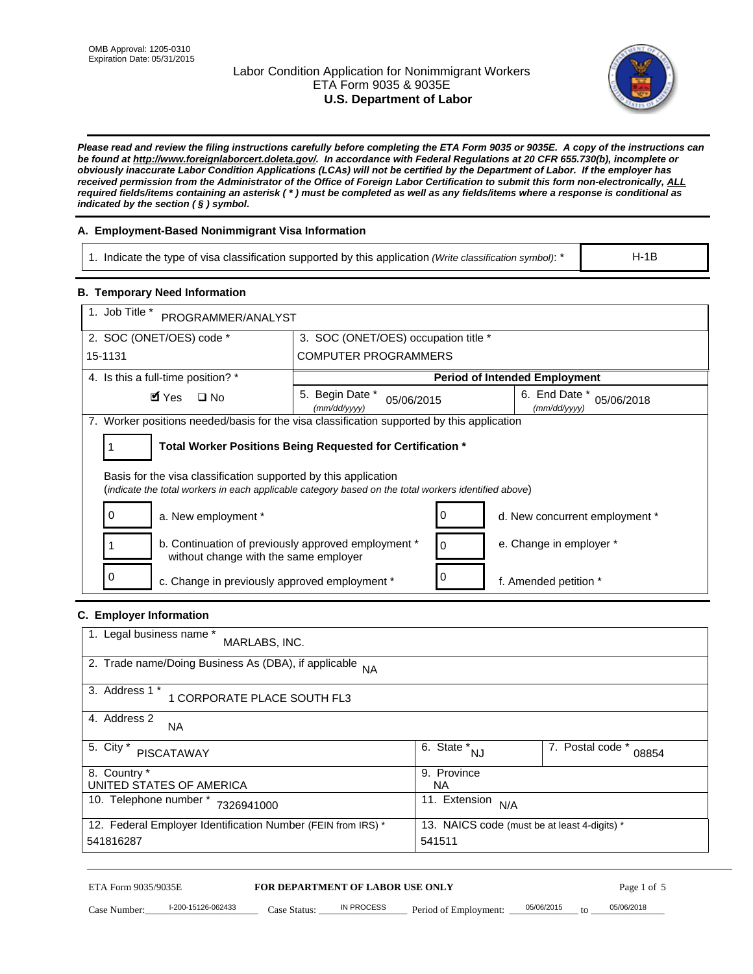# Labor Condition Application for Nonimmigrant Workers ETA Form 9035 & 9035E **U.S. Department of Labor**



*Please read and review the filing instructions carefully before completing the ETA Form 9035 or 9035E. A copy of the instructions can be found at http://www.foreignlaborcert.doleta.gov/. In accordance with Federal Regulations at 20 CFR 655.730(b), incomplete or obviously inaccurate Labor Condition Applications (LCAs) will not be certified by the Department of Labor. If the employer has received permission from the Administrator of the Office of Foreign Labor Certification to submit this form non-electronically, ALL required fields/items containing an asterisk ( \* ) must be completed as well as any fields/items where a response is conditional as indicated by the section ( § ) symbol.* 

# **A. Employment-Based Nonimmigrant Visa Information**

1. Indicate the type of visa classification supported by this application *(Write classification symbol)*: \*

# **B. Temporary Need Information**

| <b>B. Temporary Need Information</b>                                                                                                                                    |                                                            |                                      |                                              |            |
|-------------------------------------------------------------------------------------------------------------------------------------------------------------------------|------------------------------------------------------------|--------------------------------------|----------------------------------------------|------------|
| 1. Job Title *                                                                                                                                                          |                                                            |                                      |                                              |            |
| PROGRAMMER/ANALYST                                                                                                                                                      |                                                            |                                      |                                              |            |
| 2. SOC (ONET/OES) code *                                                                                                                                                | 3. SOC (ONET/OES) occupation title *                       |                                      |                                              |            |
| 15-1131                                                                                                                                                                 | <b>COMPUTER PROGRAMMERS</b>                                |                                      |                                              |            |
| 4. Is this a full-time position? *                                                                                                                                      |                                                            |                                      | <b>Period of Intended Employment</b>         |            |
| $\blacksquare$ Yes<br>$\square$ No                                                                                                                                      | 5. Begin Date *<br>05/06/2015<br>(mm/dd/yyyy)              |                                      | 6. End Date *<br>(mm/dd/yyyy)                | 05/06/2018 |
| 7. Worker positions needed/basis for the visa classification supported by this application                                                                              |                                                            |                                      |                                              |            |
| 1                                                                                                                                                                       | Total Worker Positions Being Requested for Certification * |                                      |                                              |            |
|                                                                                                                                                                         |                                                            |                                      |                                              |            |
| Basis for the visa classification supported by this application<br>(indicate the total workers in each applicable category based on the total workers identified above) |                                                            |                                      |                                              |            |
|                                                                                                                                                                         |                                                            |                                      |                                              |            |
| 0<br>a. New employment *                                                                                                                                                |                                                            | 0                                    | d. New concurrent employment *               |            |
| b. Continuation of previously approved employment *<br>without change with the same employer                                                                            |                                                            | 0                                    | e. Change in employer *                      |            |
| 0<br>c. Change in previously approved employment *                                                                                                                      |                                                            | 0                                    | f. Amended petition *                        |            |
| C. Employer Information                                                                                                                                                 |                                                            |                                      |                                              |            |
| 1. Legal business name *                                                                                                                                                |                                                            |                                      |                                              |            |
| MARLABS, INC.                                                                                                                                                           |                                                            |                                      |                                              |            |
| 2. Trade name/Doing Business As (DBA), if applicable                                                                                                                    | <b>NA</b>                                                  |                                      |                                              |            |
| 3. Address 1 *                                                                                                                                                          |                                                            |                                      |                                              |            |
| 1 CORPORATE PLACE SOUTH FL3                                                                                                                                             |                                                            |                                      |                                              |            |
| 4. Address 2<br>NA.                                                                                                                                                     |                                                            |                                      |                                              |            |
| 5. City *                                                                                                                                                               |                                                            | $\overline{6. \text{ State}}^*_{NJ}$ | 7. Postal code *                             |            |
| <b>PISCATAWAY</b>                                                                                                                                                       |                                                            |                                      |                                              | 08854      |
| 8. Country *<br>UNITED STATES OF AMERICA                                                                                                                                |                                                            | 9. Province<br><b>NA</b>             |                                              |            |
| 10. Telephone number * 7326941000                                                                                                                                       |                                                            | 11. Extension $N/A$                  |                                              |            |
|                                                                                                                                                                         |                                                            |                                      |                                              |            |
| 12. Federal Employer Identification Number (FEIN from IRS) *<br>541816287                                                                                               |                                                            | 541511                               | 13. NAICS code (must be at least 4-digits) * |            |
|                                                                                                                                                                         |                                                            |                                      |                                              |            |

# **C. Employer Information**

| 1. Legal business name *<br>MARLABS, INC.                    |                                              |                           |
|--------------------------------------------------------------|----------------------------------------------|---------------------------|
| 2. Trade name/Doing Business As (DBA), if applicable NA      |                                              |                           |
| 3. Address 1 *<br>1 CORPORATE PLACE SOUTH FL3                |                                              |                           |
| 4. Address 2<br><b>NA</b>                                    |                                              |                           |
| 5. City *<br><b>PISCATAWAY</b>                               | 6. State *<br><b>NJ</b>                      | 7. Postal code *<br>08854 |
| 8. Country *                                                 | 9. Province                                  |                           |
| UNITED STATES OF AMERICA                                     | NA.                                          |                           |
| 10. Telephone number *<br>7326941000                         | 11. Extension<br>N/A                         |                           |
| 12. Federal Employer Identification Number (FEIN from IRS) * | 13. NAICS code (must be at least 4-digits) * |                           |
| 541816287                                                    | 541511                                       |                           |

# ETA Form 9035/9035E **FOR DEPARTMENT OF LABOR USE ONLY** Page 1 of 5<br>Case Number: 1-200-15126-062433 Case Status: IN PROCESS Period of Employment: 05/06/2015 to 05/06/2018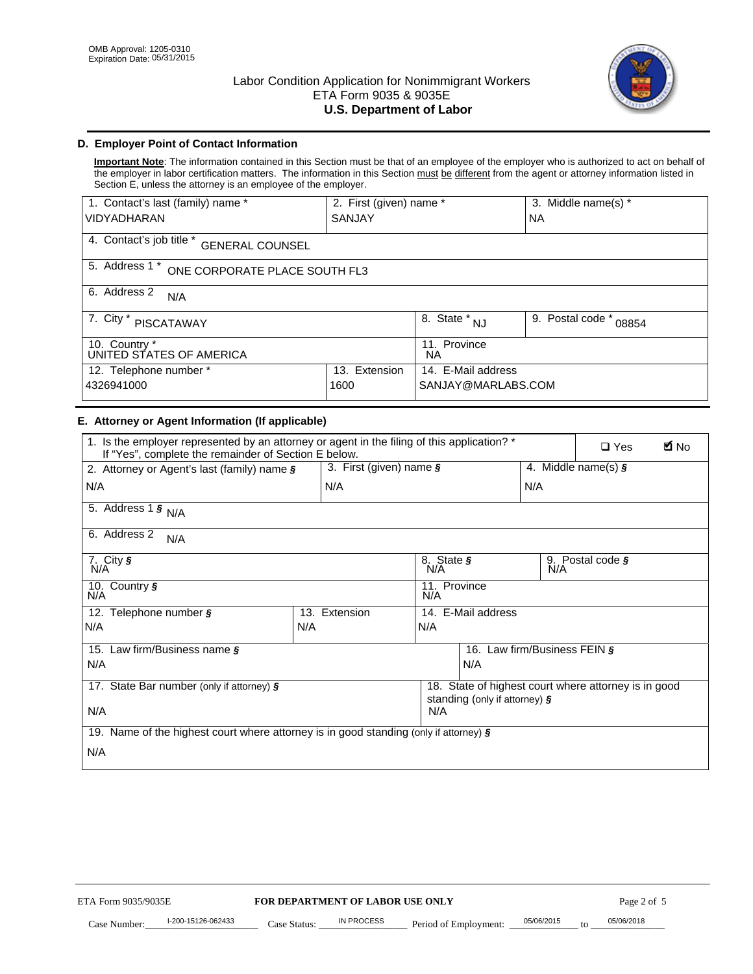

# **D. Employer Point of Contact Information**

**Important Note**: The information contained in this Section must be that of an employee of the employer who is authorized to act on behalf of the employer in labor certification matters. The information in this Section must be different from the agent or attorney information listed in Section E, unless the attorney is an employee of the employer.

| 1. Contact's last (family) name *                  | 2. First (given) name * |                                  | 3. Middle name(s) *       |  |  |
|----------------------------------------------------|-------------------------|----------------------------------|---------------------------|--|--|
| <b>VIDYADHARAN</b>                                 | <b>SANJAY</b>           |                                  | <b>NA</b>                 |  |  |
| 4. Contact's job title *<br><b>GENERAL COUNSEL</b> |                         |                                  |                           |  |  |
| 5. Address 1 *<br>ONE CORPORATE PLACE SOUTH FL3    |                         |                                  |                           |  |  |
| 6. Address 2<br>N/A                                |                         |                                  |                           |  |  |
| 7. City $*$<br><b>PISCATAWAY</b>                   |                         | $\overline{8}$ . State $*$<br>NJ | 9. Postal code *<br>08854 |  |  |
| 10. Country *<br>UNITED STATES OF AMERICA          |                         | 11. Province<br>ΝA               |                           |  |  |
| Extension<br>12. Telephone number *<br>13.         |                         | 14. E-Mail address               |                           |  |  |
| 4326941000<br>1600                                 |                         | SANJAY@MARLABS.COM               |                           |  |  |

# **E. Attorney or Agent Information (If applicable)**

| VIDYADHARAN                                                                                                                                         | SANJAY                           |                                           |                                          | <b>NA</b>        |                                                      |             |
|-----------------------------------------------------------------------------------------------------------------------------------------------------|----------------------------------|-------------------------------------------|------------------------------------------|------------------|------------------------------------------------------|-------------|
| 4. Contact's job title * GENERAL COUNSEL                                                                                                            |                                  |                                           |                                          |                  |                                                      |             |
| 5. Address 1 * ONE CORPORATE PLACE SOUTH FL3                                                                                                        |                                  |                                           |                                          |                  |                                                      |             |
| 6. Address 2<br>N/A                                                                                                                                 |                                  |                                           |                                          |                  |                                                      |             |
| 7. City * PISCATAWAY                                                                                                                                |                                  | $\overline{\phantom{a}}$ 8. State $^*$ NJ |                                          | 9. Postal code * | 08854                                                |             |
| 10. Country *<br>UNITED STATES OF AMERICA                                                                                                           |                                  | 11. Province<br><b>NA</b>                 |                                          |                  |                                                      |             |
| 12. Telephone number *<br>4326941000                                                                                                                | 13. Extension<br>1600            |                                           | 14. E-Mail address<br>SANJAY@MARLABS.COM |                  |                                                      |             |
| E. Attorney or Agent Information (If applicable)                                                                                                    |                                  |                                           |                                          |                  |                                                      |             |
| 1. Is the employer represented by an attorney or agent in the filing of this application? *<br>If "Yes", complete the remainder of Section E below. |                                  |                                           |                                          |                  | $\Box$ Yes                                           | <b>M</b> No |
| 2. Attorney or Agent's last (family) name §                                                                                                         | 3. First (given) name §          |                                           |                                          |                  | 4. Middle name(s) $\sqrt{s}$                         |             |
| N/A                                                                                                                                                 | N/A                              |                                           |                                          | N/A              |                                                      |             |
| 5. Address 1 $\frac{1}{9}$ N/A                                                                                                                      |                                  |                                           |                                          |                  |                                                      |             |
| 6. Address 2<br>N/A                                                                                                                                 |                                  |                                           |                                          |                  |                                                      |             |
| $7.$ City $\overline{\mathsf{S}}$<br>N/A                                                                                                            |                                  | 8. State §<br>N/A                         |                                          |                  | 9. Postal code §<br>N/A                              |             |
| 10. Country §<br>N/A                                                                                                                                |                                  | 11. Province<br>N/A                       |                                          |                  |                                                      |             |
| 12. Telephone number §                                                                                                                              | 13. Extension                    | 14. E-Mail address                        |                                          |                  |                                                      |             |
| N/A                                                                                                                                                 | N/A                              | N/A                                       |                                          |                  |                                                      |             |
| 15. Law firm/Business name §                                                                                                                        |                                  |                                           | 16. Law firm/Business FEIN §             |                  |                                                      |             |
| N/A                                                                                                                                                 |                                  |                                           | N/A                                      |                  |                                                      |             |
| 17. State Bar number (only if attorney) §                                                                                                           |                                  |                                           | standing (only if attorney) §            |                  | 18. State of highest court where attorney is in good |             |
| N/A                                                                                                                                                 |                                  | N/A                                       |                                          |                  |                                                      |             |
| 19. Name of the highest court where attorney is in good standing (only if attorney) §                                                               |                                  |                                           |                                          |                  |                                                      |             |
| N/A                                                                                                                                                 |                                  |                                           |                                          |                  |                                                      |             |
|                                                                                                                                                     |                                  |                                           |                                          |                  |                                                      |             |
|                                                                                                                                                     |                                  |                                           |                                          |                  |                                                      |             |
|                                                                                                                                                     |                                  |                                           |                                          |                  |                                                      |             |
|                                                                                                                                                     |                                  |                                           |                                          |                  |                                                      |             |
|                                                                                                                                                     |                                  |                                           |                                          |                  |                                                      |             |
|                                                                                                                                                     |                                  |                                           |                                          |                  |                                                      |             |
|                                                                                                                                                     |                                  |                                           |                                          |                  |                                                      |             |
| ETA Form 9035/9035E                                                                                                                                 | FOR DEPARTMENT OF LABOR USE ONLY |                                           |                                          |                  | Page 2 of 5                                          |             |
| I-200-15126-062433                                                                                                                                  | IN PROCESS                       |                                           |                                          | 05/06/2015       | 05/06/2018                                           |             |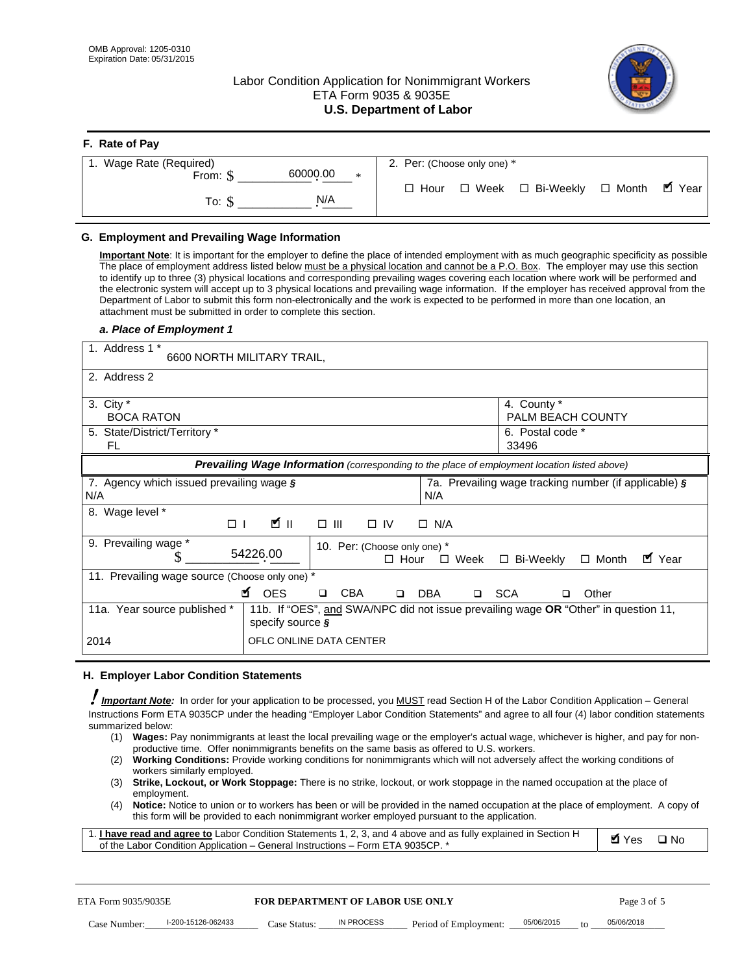# Labor Condition Application for Nonimmigrant Workers ETA Form 9035 & 9035E **U.S. Department of Labor**



| F. Rate of Pay                 |                                                     |
|--------------------------------|-----------------------------------------------------|
| 1. Wage Rate (Required)        | 2. Per: (Choose only one) *                         |
| 60000.00<br>From: \$<br>$\ast$ |                                                     |
| N/A<br>To: \$                  | ■ Year<br>□ Week □ Bi-Weekly □ Month<br>$\Box$ Hour |

## **G. Employment and Prevailing Wage Information**

#### *a. Place of Employment 1*

| From: \$                                                                                                                                                                                                                                                                                                                                                                                                                                                                                                                      | 60000.00<br>$\ast$                                                                                                                                                                                                                                     |             | $\Box$ Hour | $\Box$ Week           | □ Bi-Weekly                                           | $\Box$ Month | $\blacksquare$ Year |
|-------------------------------------------------------------------------------------------------------------------------------------------------------------------------------------------------------------------------------------------------------------------------------------------------------------------------------------------------------------------------------------------------------------------------------------------------------------------------------------------------------------------------------|--------------------------------------------------------------------------------------------------------------------------------------------------------------------------------------------------------------------------------------------------------|-------------|-------------|-----------------------|-------------------------------------------------------|--------------|---------------------|
| To: $$$                                                                                                                                                                                                                                                                                                                                                                                                                                                                                                                       | N/A                                                                                                                                                                                                                                                    |             |             |                       |                                                       |              |                     |
| G. Employment and Prevailing Wage Information<br>Important Note: It is important for the employer to define the place of intended employment with as much geographic specificity as possible<br>The place of employment address listed below must be a physical location and cannot be a P.O. Box. The employer may use this section                                                                                                                                                                                          |                                                                                                                                                                                                                                                        |             |             |                       |                                                       |              |                     |
| to identify up to three (3) physical locations and corresponding prevailing wages covering each location where work will be performed and<br>the electronic system will accept up to 3 physical locations and prevailing wage information. If the employer has received approval from the<br>Department of Labor to submit this form non-electronically and the work is expected to be performed in more than one location, an<br>attachment must be submitted in order to complete this section.<br>a. Place of Employment 1 |                                                                                                                                                                                                                                                        |             |             |                       |                                                       |              |                     |
| 1. Address 1 *                                                                                                                                                                                                                                                                                                                                                                                                                                                                                                                | 6600 NORTH MILITARY TRAIL,                                                                                                                                                                                                                             |             |             |                       |                                                       |              |                     |
| 2. Address 2                                                                                                                                                                                                                                                                                                                                                                                                                                                                                                                  |                                                                                                                                                                                                                                                        |             |             |                       |                                                       |              |                     |
| 3. City $*$<br><b>BOCA RATON</b>                                                                                                                                                                                                                                                                                                                                                                                                                                                                                              |                                                                                                                                                                                                                                                        |             |             |                       | 4. County *<br>PALM BEACH COUNTY                      |              |                     |
| 5. State/District/Territory *<br>FL                                                                                                                                                                                                                                                                                                                                                                                                                                                                                           |                                                                                                                                                                                                                                                        |             |             |                       | 6. Postal code *<br>33496                             |              |                     |
|                                                                                                                                                                                                                                                                                                                                                                                                                                                                                                                               | Prevailing Wage Information (corresponding to the place of employment location listed above)                                                                                                                                                           |             |             |                       |                                                       |              |                     |
| 7. Agency which issued prevailing wage $\zeta$<br>N/A                                                                                                                                                                                                                                                                                                                                                                                                                                                                         |                                                                                                                                                                                                                                                        |             | N/A         |                       | 7a. Prevailing wage tracking number (if applicable) § |              |                     |
| 8. Wage level *<br>$\Box$                                                                                                                                                                                                                                                                                                                                                                                                                                                                                                     | <b>M</b><br>$\Box$<br>III                                                                                                                                                                                                                              | $\Box$ IV   | $\Box$ N/A  |                       |                                                       |              |                     |
| 9. Prevailing wage *<br>\$                                                                                                                                                                                                                                                                                                                                                                                                                                                                                                    | 10. Per: (Choose only one) *<br>54226.00                                                                                                                                                                                                               | $\Box$ Hour |             | $\square$ Week        | □ Bi-Weekly                                           | $\Box$ Month | ■ Year              |
| 11. Prevailing wage source (Choose only one) *                                                                                                                                                                                                                                                                                                                                                                                                                                                                                | <b>¤</b> OES<br><b>CBA</b>                                                                                                                                                                                                                             | $\Box$      | <b>DBA</b>  | □ SCA                 |                                                       | Other        |                     |
| 11a. Year source published *                                                                                                                                                                                                                                                                                                                                                                                                                                                                                                  | 11b. If "OES", and SWA/NPC did not issue prevailing wage OR "Other" in question 11,<br>specify source $\boldsymbol{\S}$                                                                                                                                |             |             |                       |                                                       |              |                     |
| 2014                                                                                                                                                                                                                                                                                                                                                                                                                                                                                                                          | OFLC ONLINE DATA CENTER                                                                                                                                                                                                                                |             |             |                       |                                                       |              |                     |
| H. Employer Labor Condition Statements                                                                                                                                                                                                                                                                                                                                                                                                                                                                                        |                                                                                                                                                                                                                                                        |             |             |                       |                                                       |              |                     |
| I Important Note: In order for your application to be processed, you MUST read Section H of the Labor Condition Application – General<br>Instructions Form ETA 9035CP under the heading "Employer Labor Condition Statements" and agree to all four (4) labor condition statements<br>summarized below:                                                                                                                                                                                                                       | (1) Wages: Pay nonimmigrants at least the local prevailing wage or the employer's actual wage, whichever is higher, and pay for non-<br>productive time. Offer nonimmigrants benefits on the same basis as offered to U.S. workers.                    |             |             |                       |                                                       |              |                     |
| (2)<br>workers similarly employed.<br>(3)                                                                                                                                                                                                                                                                                                                                                                                                                                                                                     | Working Conditions: Provide working conditions for nonimmigrants which will not adversely affect the working conditions of<br>Strike, Lockout, or Work Stoppage: There is no strike, lockout, or work stoppage in the named occupation at the place of |             |             |                       |                                                       |              |                     |
| employment.<br>(4)                                                                                                                                                                                                                                                                                                                                                                                                                                                                                                            | Notice: Notice to union or to workers has been or will be provided in the named occupation at the place of employment. A copy of<br>this form will be provided to each nonimmigrant worker employed pursuant to the application.                       |             |             |                       |                                                       |              |                     |
| 1. I have read and agree to Labor Condition Statements 1, 2, 3, and 4 above and as fully explained in Section H<br>of the Labor Condition Application - General Instructions - Form ETA 9035CP. *                                                                                                                                                                                                                                                                                                                             |                                                                                                                                                                                                                                                        |             |             |                       |                                                       | <b>Ø</b> Yes | $\square$ No        |
| ETA Form 9035/9035E                                                                                                                                                                                                                                                                                                                                                                                                                                                                                                           | <b>FOR DEPARTMENT OF LABOR USE ONLY</b>                                                                                                                                                                                                                |             |             |                       |                                                       | Page 3 of 5  |                     |
| I-200-15126-062433<br>Case Number:                                                                                                                                                                                                                                                                                                                                                                                                                                                                                            | <b>IN PROCESS</b><br>Case Status:                                                                                                                                                                                                                      |             |             | Period of Employment: | 05/06/2015                                            | 05/06/2018   |                     |

#### **H. Employer Labor Condition Statements**

- (1) **Wages:** Pay nonimmigrants at least the local prevailing wage or the employer's actual wage, whichever is higher, and pay for nonproductive time. Offer nonimmigrants benefits on the same basis as offered to U.S. workers.
- (2) **Working Conditions:** Provide working conditions for nonimmigrants which will not adversely affect the working conditions of workers similarly employed.
- (3) **Strike, Lockout, or Work Stoppage:** There is no strike, lockout, or work stoppage in the named occupation at the place of employment.
- (4) **Notice:** Notice to union or to workers has been or will be provided in the named occupation at the place of employment. A copy of this form will be provided to each nonimmigrant worker employed pursuant to the application.

| 1. I have read and agree to Labor Condition Statements 1, 2, 3, and 4 above and as fully explained in Section H | Øl Yes | $\Box$ No |
|-----------------------------------------------------------------------------------------------------------------|--------|-----------|
| of the Labor Condition Application – General Instructions – Form ETA 9035CP. *                                  |        |           |

| ETA Form 9035/9035E |                    | <b>FOR DEPARTMENT OF LABOR USE ONLY</b> |            |                       |            |           | Page 3 of 5 |
|---------------------|--------------------|-----------------------------------------|------------|-----------------------|------------|-----------|-------------|
| Case Number:        | I-200-15126-062433 | Case Status:                            | IN PROCESS | Period of Employment: | 05/06/2015 | $10^{-1}$ | 05/06/2018  |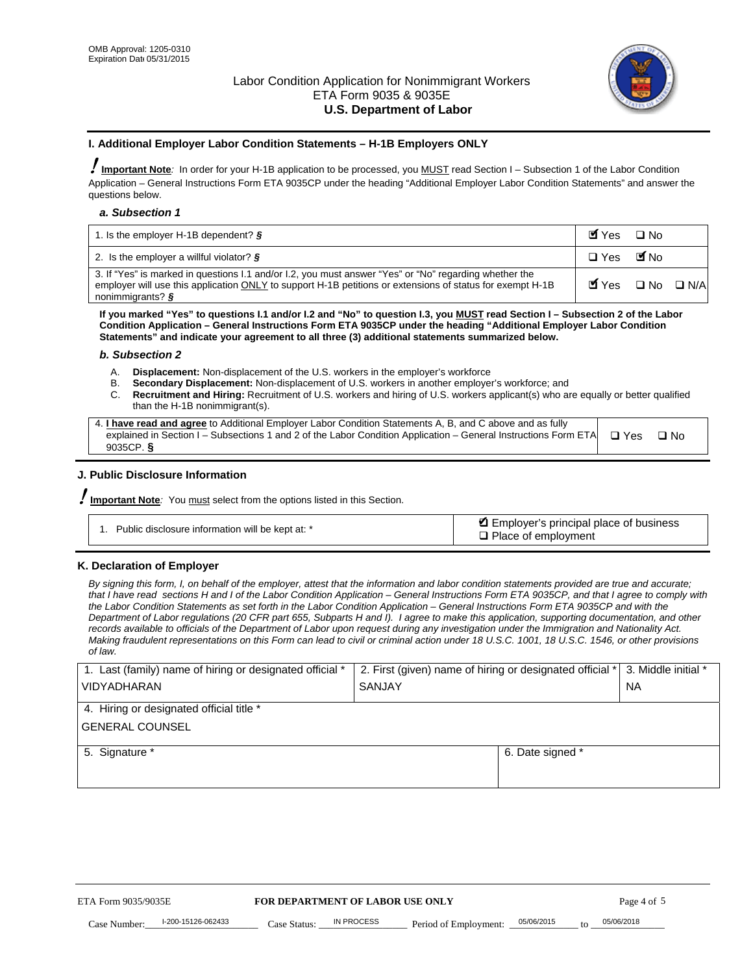

#### **I. Additional Employer Labor Condition Statements – H-1B Employers ONLY**

!**Important Note***:* In order for your H-1B application to be processed, you MUST read Section I – Subsection 1 of the Labor Condition Application – General Instructions Form ETA 9035CP under the heading "Additional Employer Labor Condition Statements" and answer the questions below.

#### *a. Subsection 1*

| 1. Is the employer H-1B dependent? $\S$                                                                                                                                                                                                 | Myes                                          | $\Box$ No              |  |
|-----------------------------------------------------------------------------------------------------------------------------------------------------------------------------------------------------------------------------------------|-----------------------------------------------|------------------------|--|
| 2. Is the employer a willful violator? $\frac{1}{2}$                                                                                                                                                                                    | $\Box$ Yes                                    | <b>M</b> <sub>No</sub> |  |
| 3. If "Yes" is marked in questions 1.1 and/or 1.2, you must answer "Yes" or "No" regarding whether the<br>employer will use this application ONLY to support H-1B petitions or extensions of status for exempt H-1B<br>nonimmigrants? § | $\blacksquare$ Yes $\square$ No $\square$ N/A |                        |  |

**If you marked "Yes" to questions I.1 and/or I.2 and "No" to question I.3, you MUST read Section I – Subsection 2 of the Labor Condition Application – General Instructions Form ETA 9035CP under the heading "Additional Employer Labor Condition Statements" and indicate your agreement to all three (3) additional statements summarized below.** 

#### *b. Subsection 2*

- A. **Displacement:** Non-displacement of the U.S. workers in the employer's workforce
- B. **Secondary Displacement:** Non-displacement of U.S. workers in another employer's workforce; and
- C. **Recruitment and Hiring:** Recruitment of U.S. workers and hiring of U.S. workers applicant(s) who are equally or better qualified than the H-1B nonimmigrant(s).

| 4. I have read and agree to Additional Employer Labor Condition Statements A, B, and C above and as fully                  |      |
|----------------------------------------------------------------------------------------------------------------------------|------|
| explained in Section I – Subsections 1 and 2 of the Labor Condition Application – General Instructions Form ETA $\Box$ Yes | ∩ Nח |
| 9035CP. $\delta$                                                                                                           |      |

# **J. Public Disclosure Information**

!**Important Note***:* You must select from the options listed in this Section.

| Public disclosure information will be kept at: * | Employer's principal place of business<br>$\Box$ Place of employment |
|--------------------------------------------------|----------------------------------------------------------------------|
|--------------------------------------------------|----------------------------------------------------------------------|

#### **K. Declaration of Employer**

*By signing this form, I, on behalf of the employer, attest that the information and labor condition statements provided are true and accurate;*  that I have read sections H and I of the Labor Condition Application – General Instructions Form ETA 9035CP, and that I agree to comply with *the Labor Condition Statements as set forth in the Labor Condition Application – General Instructions Form ETA 9035CP and with the Department of Labor regulations (20 CFR part 655, Subparts H and I). I agree to make this application, supporting documentation, and other records available to officials of the Department of Labor upon request during any investigation under the Immigration and Nationality Act. Making fraudulent representations on this Form can lead to civil or criminal action under 18 U.S.C. 1001, 18 U.S.C. 1546, or other provisions of law.* 

| 1. Last (family) name of hiring or designated official * | 2. First (given) name of hiring or designated official * |                                 | 3. Middle initial * |
|----------------------------------------------------------|----------------------------------------------------------|---------------------------------|---------------------|
| <b>VIDYADHARAN</b>                                       | <b>SANJAY</b>                                            |                                 | <b>NA</b>           |
| 4. Hiring or designated official title *                 |                                                          |                                 |                     |
| <b>GENERAL COUNSEL</b>                                   |                                                          |                                 |                     |
| 5. Signature *                                           |                                                          | 6. Date signed *                |                     |
|                                                          |                                                          |                                 |                     |
|                                                          |                                                          |                                 |                     |
|                                                          |                                                          |                                 |                     |
|                                                          |                                                          |                                 |                     |
|                                                          |                                                          |                                 |                     |
| FOR DEPARTMENT OF LABOR USE ONLY<br>ETA Form 9035/9035E  | Page 4 of 5                                              |                                 |                     |
| I-200-15126-062433<br>Case Number<br>Case Status:        | IN PROCESS<br>Period of Employment:                      | 05/06/2015<br>$\mathsf{t} \cap$ | 05/06/2018          |